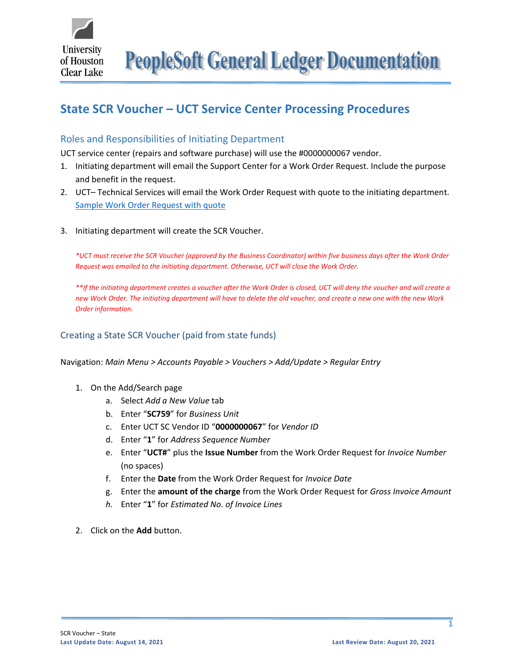

**PeopleSoft General Ledger Documentation** 

# **State SCR Voucher – UCT Service Center Processing Procedures**

## Roles and Responsibilities of Initiating Department

UCT service center (repairs and software purchase) will use the #0000000067 vendor.

- 1. Initiating department will email the Support Center for a Work Order Request. Include the purpose and benefit in the request.
- 2. UCT– Technical Services will email the Work Order Request with quote to the initiating department. [Sample Work Order Request with quote](https://www.uhcl.edu/about/administrative-offices/finance/peoplesoft-finance/documents/scr-work-order-request-state.pdf)
- 3. Initiating department will create the SCR Voucher.

*\*UCT must receive the SCR Voucher (approved by the Business Coordinator) within five business days after the Work Order Request was emailed to the initiating department. Otherwise, UCT will close the Work Order.* 

*\*\*If the initiating department creates a voucher after the Work Order is closed, UCT will deny the voucher and will create a new Work Order. The initiating department will have to delete the old voucher, and create a new one with the new Work Order information.*

## Creating a State SCR Voucher (paid from state funds)

Navigation: *Main Menu > Accounts Payable > Vouchers > Add/Update > Regular Entry*

- 1. On the Add/Search page
	- a. Select *Add a New Value* tab
	- b. Enter "**SC759**" for *Business Unit*
	- c. Enter UCT SC Vendor ID "**0000000067**" for *Vendor ID*
	- d. Enter "**1**" for *Address Sequence Number*
	- e. Enter "**UCT#**" plus the **Issue Number** from the Work Order Request for *Invoice Number* (no spaces)
	- f. Enter the **Date** from the Work Order Request for *Invoice Date*
	- g. Enter the **amount of the charge** from the Work Order Request for *Gross Invoice Amount*
	- *h.* Enter "**1**" for *Estimated No. of Invoice Lines*
- 2. Click on the **Add** button.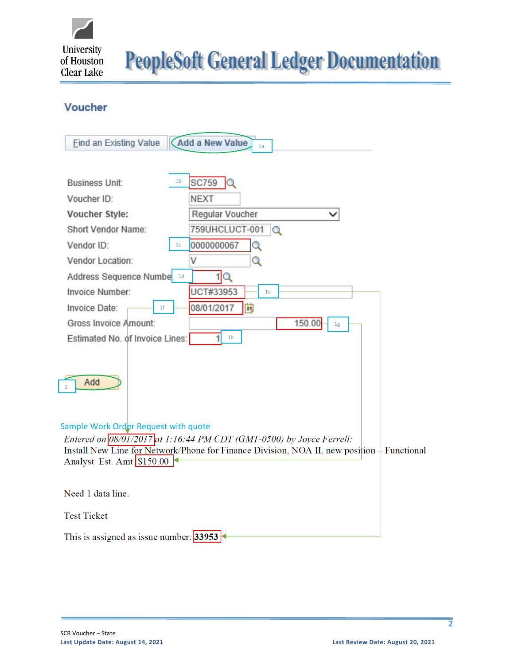

**PeopleSoft General Ledger Documentation** 

# Voucher

| <b>Add a New Value</b><br><b>Find an Existing Value</b><br>1a                                                                                                                                                                                                                                                                           |
|-----------------------------------------------------------------------------------------------------------------------------------------------------------------------------------------------------------------------------------------------------------------------------------------------------------------------------------------|
| 1 <sub>b</sub><br>$SC759$ $Q$<br><b>Business Unit:</b><br>Voucher ID:<br><b>NEXT</b><br>Regular Voucher<br>Voucher Style:<br>759UHCLUCT-001<br>Short Vendor Name:<br>$\Omega$<br>0000000067<br>Vendor ID:<br>Q<br>1 <sub>c</sub><br>Vendor Location:<br>Q<br>V<br>1Q<br>Address Sequence Numbe 1d<br>Invoice Number:<br>UCT#33953<br>1e |
| 08/01/2017<br> H <br>Invoice Date:<br>1 <sup>f</sup><br>Gross Invoice Amount:<br>150.00<br>1g                                                                                                                                                                                                                                           |
| 1 <sub>h</sub><br>Estimated No. of Invoice Lines:                                                                                                                                                                                                                                                                                       |
| Add<br>$\overline{2}$                                                                                                                                                                                                                                                                                                                   |
| Sample Work Order Request with quote<br>Entered on $08/01/2017$ at 1:16:44 PM CDT (GMT-0500) by Joyce Ferrell:                                                                                                                                                                                                                          |
| Install New Line for Network/Phone for Finance Division, NOA II, new position + Functional<br>Analyst. Est. Amt. \$150.00                                                                                                                                                                                                               |
| Need 1 data line.                                                                                                                                                                                                                                                                                                                       |
| <b>Test Ticket</b>                                                                                                                                                                                                                                                                                                                      |
| This is assigned as issue number: 33953                                                                                                                                                                                                                                                                                                 |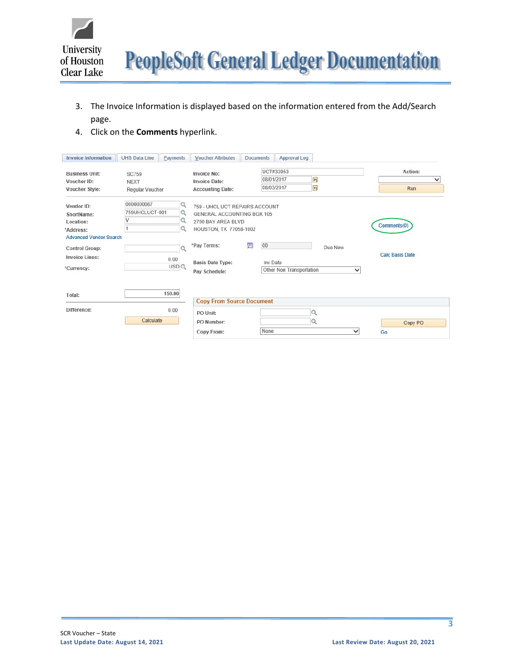

- 3. The Invoice Information is displayed based on the information entered from the Add/Search page.
- 4. Click on the **Comments** hyperlink.

| <b>Invoice Information</b>                                                                                   | <b>UHS Data Line</b>                           | Payments                            | <b>Voucher Attributes</b>                                                                                                   | <b>Documents</b> | Approval Log                                      |         |             |                                       |
|--------------------------------------------------------------------------------------------------------------|------------------------------------------------|-------------------------------------|-----------------------------------------------------------------------------------------------------------------------------|------------------|---------------------------------------------------|---------|-------------|---------------------------------------|
| <b>Business Unit:</b><br>Voucher ID:<br>Voucher Style:                                                       | <b>SC759</b><br><b>NEXT</b><br>Regular Voucher |                                     | Invoice No:<br><b>Invoice Date:</b><br><b>Accounting Date:</b>                                                              |                  | UCT#33953<br>E<br>08/01/2017<br>Þij<br>08/03/2017 |         |             | Action:<br>◡<br><b>Run</b>            |
| Vendor ID:<br>ShortName:<br>Location:<br>*Address:<br><b>Advanced Vendor Search</b><br><b>Control Group:</b> | 0000000067<br>759UHCLUCT-001                   | $\alpha$<br>Q<br>Q<br>Q<br>$\Omega$ | 759 - UHCL UCT REPAIRS ACCOUNT<br>GENERAL ACCOUNTING BOX 105<br>2700 BAY AREA BLVD<br>HOUSTON, TX 77058-1002<br>*Pay Terms: | 痼<br>00          |                                                   | Due Now |             | Comments(0)<br><b>Calc Basis Date</b> |
| <b>Invoice Lines:</b><br>*Currency:<br>Total:                                                                |                                                | 0.00<br>USDQ<br>150.00              | <b>Basis Date Type:</b><br>Pay Schedule:                                                                                    |                  | Inv Date<br>Other Non Transportation              |         | $\check{ }$ |                                       |
|                                                                                                              |                                                |                                     | <b>Copy From Source Document</b>                                                                                            |                  |                                                   |         |             |                                       |
| Difference:                                                                                                  | Calculate                                      | 0.00                                | PO Unit:<br>PO Number:<br>Copy From:                                                                                        | None             | Q<br>Q                                            |         | $\check{ }$ | Copy PO<br>Go                         |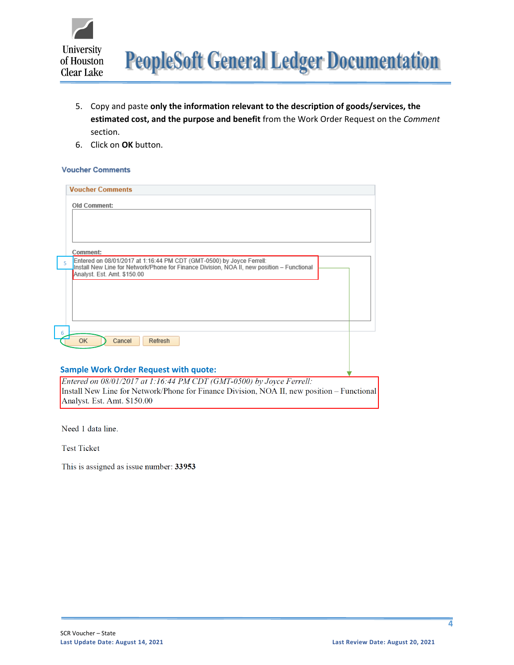

- 5. Copy and paste **only the information relevant to the description of goods/services, the estimated cost, and the purpose and benefit** from the Work Order Request on the *Comment* section.
- 6. Click on **OK** button.

#### **Voucher Comments**

| Comment:<br>Entered on 08/01/2017 at 1:16:44 PM CDT (GMT-0500) by Joyce Ferrell:<br>5<br>Install New Line for Network/Phone for Finance Division, NOA II, new position - Functional<br>Analyst. Est. Amt. \$150.00<br>6<br><b>OK</b><br>Cancel<br>Refresh |  |
|-----------------------------------------------------------------------------------------------------------------------------------------------------------------------------------------------------------------------------------------------------------|--|
|                                                                                                                                                                                                                                                           |  |
|                                                                                                                                                                                                                                                           |  |
|                                                                                                                                                                                                                                                           |  |

Install New Line for Network/Phone for Finance Division, NOA II, new position – Functional Analyst. Est. Amt. \$150.00

Need 1 data line.

**Test Ticket** 

This is assigned as issue number: 33953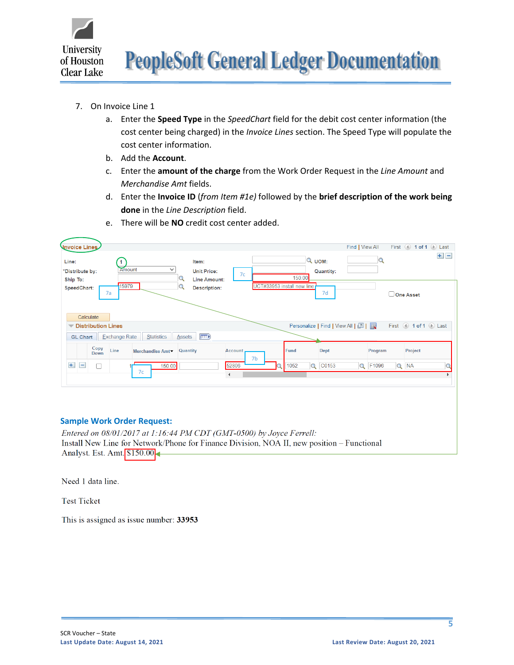

- 7. On Invoice Line 1
	- a. Enter the **Speed Type** in the *SpeedChart* field for the debit cost center information (the cost center being charged) in the *Invoice Lines* section. The Speed Type will populate the cost center information.
	- b. Add the **Account**.
	- c. Enter the **amount of the charge** from the Work Order Request in the *Line Amount* and *Merchandise Amt* fields.
	- d. Enter the **Invoice ID** (*from Item #1e)* followed by the **brief description of the work being done** in the *Line Description* field.

| Unvoice Lines                                                                                                 |                                                          | First 1 of 1 D Last<br>Find   View All |
|---------------------------------------------------------------------------------------------------------------|----------------------------------------------------------|----------------------------------------|
| Line:<br>Item:<br>Amount<br>$\checkmark$<br>*Distribute by:<br><b>Unit Price:</b><br>Ship To:<br>Line Amount: | $Q$ UOM:<br><b>Quantity:</b><br>7 <sub>c</sub><br>150.00 | $+$ $-$                                |
| 15979<br><b>Description:</b><br>SpeedChart:<br>7a<br>Calculate                                                | UCT#33953 install new line<br>7d                         | One Asset                              |
| <b>Distribution Lines</b>                                                                                     | Personalize   Find   View All   <mark>고   표</mark>       | First 1 of 1 D Last                    |
| $F$ and $F$<br><b>Statistics</b><br><b>Exchange Rate</b><br><b>Assets</b><br><b>GL Chart</b>                  |                                                          |                                        |
| Copy<br>Line<br>Quantity<br>Merchandise Amt<br>Down                                                           | Fund<br><b>Dept</b><br><b>Account</b><br>7b              | Project<br>Program                     |
| $+$<br>∩<br>150.00<br>$\overline{\phantom{0}}$<br>7c                                                          | 52806<br>C0153<br>1052<br>Q<br>$\blacktriangleleft$      | Q F1096<br>$Q$ NA                      |

e. There will be **NO** credit cost center added.

#### **Sample Work Order Request:**

Entered on 08/01/2017 at 1:16:44 PM CDT (GMT-0500) by Joyce Ferrell: Install New Line for Network/Phone for Finance Division, NOA II, new position - Functional Analyst. Est. Amt. \$150.00

Need 1 data line.

**Test Ticket** 

This is assigned as issue number: 33953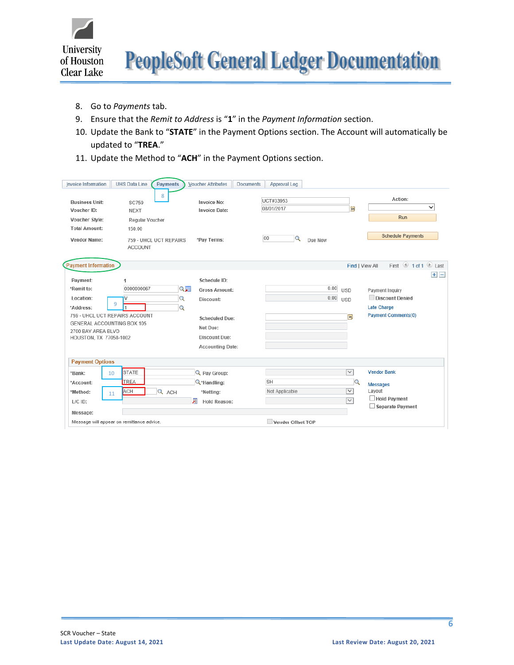

- 8. Go to *Payments* tab.
- 9. Ensure that the *Remit to Address* is "**1**" in the *Payment Information* section.
- 10. Update the Bank to "**STATE**" in the Payment Options section. The Account will automatically be updated to "**TREA**."
- 11. Update the Method to "**ACH**" in the Payment Options section.

| <b>Invoice Information</b>                                                                                                                                       | <b>UHS Data Line</b><br><b>Payments</b>                                                                   | <b>Voucher Attributes</b><br><b>Documents</b>                                                                                      | Approval Log                                  |                                                                              |                                                                                                   |
|------------------------------------------------------------------------------------------------------------------------------------------------------------------|-----------------------------------------------------------------------------------------------------------|------------------------------------------------------------------------------------------------------------------------------------|-----------------------------------------------|------------------------------------------------------------------------------|---------------------------------------------------------------------------------------------------|
| <b>Business Unit:</b><br>Voucher ID:<br>Voucher Style:<br><b>Total Amount:</b><br>Vendor Name:                                                                   | 8<br><b>SC759</b><br><b>NEXT</b><br>Regular Voucher<br>150.00<br>759 - UHCL UCT REPAIRS<br><b>ACCOUNT</b> | <b>Invoice No:</b><br>Invoice Date:<br>*Pay Terms:                                                                                 | UCT#33953<br>08/01/2017<br>00<br>Q<br>Due Now | <b>BU</b>                                                                    | Action:<br>$\check{ }$<br>Run<br><b>Schedule Payments</b>                                         |
| <b>Payment Information</b>                                                                                                                                       |                                                                                                           |                                                                                                                                    |                                               | Find   View All                                                              | First 1 of 1 Last                                                                                 |
| Payment:<br>*Remit to:<br>Location:<br>*Address:<br>759 - UHCL UCT REPAIRS ACCOUNT<br>GENERAL ACCOUNTING BOX 105<br>2700 BAY AREA BLVD<br>HOUSTON, TX 77058-1002 | 1<br>0000000067<br>Q国<br>$\alpha$<br>9<br>$\mathbf Q$                                                     | Schedule ID:<br><b>Gross Amount:</b><br>Discount:<br><b>Scheduled Due:</b><br>Net Due:<br>Discount Due:<br><b>Accounting Date:</b> |                                               | 0.00<br><b>USD</b><br>0.00<br><b>USD</b><br>B                                | $+$ $-$<br>Payment Inquiry<br>Discount Denied<br><b>Late Charge</b><br><b>Payment Comments(0)</b> |
| <b>Payment Options</b>                                                                                                                                           |                                                                                                           |                                                                                                                                    |                                               |                                                                              |                                                                                                   |
| *Bank:<br>10<br>*Account:<br>*Method:<br>11<br>$L/C$ ID:<br>Message:                                                                                             | <b>STATE</b><br><b>TREA</b><br>ACH<br>Q ACH                                                               | Q Pay Group:<br>$Q^*$ Handling:<br>*Netting:<br>肩<br><b>Hold Reason:</b>                                                           | <b>SH</b><br>Not Applicable                   | $\overline{\mathsf{v}}$<br>Q<br>$\overline{\mathsf{v}}$<br>$\overline{\vee}$ | <b>Vendor Bank</b><br><b>Messages</b><br>Layout<br>$\Box$ Hold Payment<br>$\Box$ Separate Payment |
|                                                                                                                                                                  | Message will appear on remittance advice.                                                                 |                                                                                                                                    | Vender Offset TOP                             |                                                                              |                                                                                                   |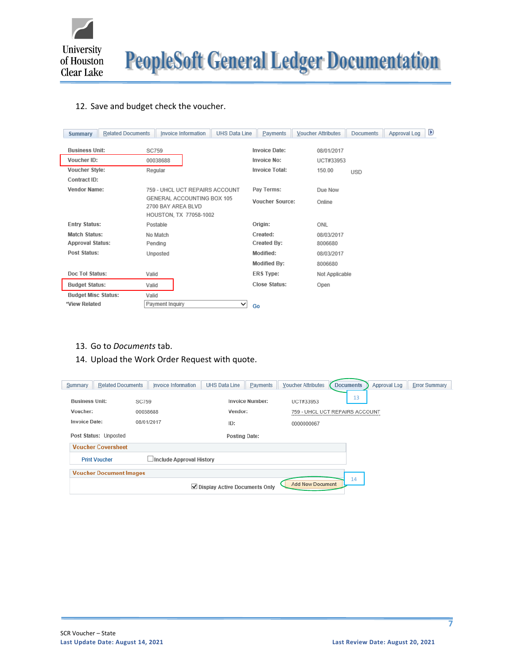

**PeopleSoft General Ledger Documentation** 

### 12. Save and budget check the voucher.

| <b>Summary</b>             | <b>Related Documents</b> | Invoice Information                                                        | <b>UHS Data Line</b>           |    | Payments               | <b>Voucher Attributes</b> | <b>Documents</b> | Approval Log | D |
|----------------------------|--------------------------|----------------------------------------------------------------------------|--------------------------------|----|------------------------|---------------------------|------------------|--------------|---|
| <b>Business Unit:</b>      | <b>SC759</b>             |                                                                            |                                |    | <b>Invoice Date:</b>   | 08/01/2017                |                  |              |   |
| Voucher ID:                |                          | 00038688                                                                   |                                |    | <b>Invoice No:</b>     | UCT#33953                 |                  |              |   |
| Voucher Style:             |                          | Regular                                                                    |                                |    | <b>Invoice Total:</b>  | 150.00                    | <b>USD</b>       |              |   |
| Contract ID:               |                          |                                                                            |                                |    |                        |                           |                  |              |   |
| <b>Vendor Name:</b>        |                          |                                                                            | 759 - UHCL UCT REPAIRS ACCOUNT |    | Pay Terms:             | Due Now                   |                  |              |   |
|                            |                          | GENERAL ACCOUNTING BOX 105<br>2700 BAY AREA BLVD<br>HOUSTON, TX 77058-1002 |                                |    | <b>Voucher Source:</b> | Online                    |                  |              |   |
| <b>Entry Status:</b>       |                          | Postable                                                                   |                                |    | Origin:                | ONL                       |                  |              |   |
| <b>Match Status:</b>       |                          | No Match                                                                   |                                |    | Created:               | 08/03/2017                |                  |              |   |
| <b>Approval Status:</b>    |                          | Pending                                                                    |                                |    | Created By:            | 8006680                   |                  |              |   |
| Post Status:               |                          | Unposted                                                                   |                                |    | Modified:              | 08/03/2017                |                  |              |   |
|                            |                          |                                                                            |                                |    | <b>Modified By:</b>    | 8006680                   |                  |              |   |
| Doc Tol Status:            | Valid                    |                                                                            |                                |    | <b>ERS Type:</b>       | Not Applicable            |                  |              |   |
| <b>Budget Status:</b>      | Valid                    |                                                                            |                                |    | Close Status:          | Open                      |                  |              |   |
| <b>Budget Misc Status:</b> | Valid                    |                                                                            |                                |    |                        |                           |                  |              |   |
| *View Related              |                          | Payment Inquiry                                                            | ◡                              | Go |                        |                           |                  |              |   |

- 13. Go to *Documents* tab.
- 14. Upload the Work Order Request with quote.

| Summary               | <b>Related Documents</b>       | Invoice Information             | <b>UHS Data Line</b>            | Payments               | <b>Voucher Attributes</b> | <b>Documents</b>               | Approval Log | <b>Error Summary</b> |
|-----------------------|--------------------------------|---------------------------------|---------------------------------|------------------------|---------------------------|--------------------------------|--------------|----------------------|
| <b>Business Unit:</b> | <b>SC759</b>                   |                                 |                                 | <b>Invoice Number:</b> | UCT#33953                 | 13                             |              |                      |
| Voucher:              |                                | 00038688                        | Vendor:                         |                        |                           | 759 - UHCL UCT REPAIRS ACCOUNT |              |                      |
| <b>Invoice Date:</b>  |                                | 08/01/2017                      | ID:                             |                        | 0000000067                |                                |              |                      |
|                       | Post Status: Unposted          |                                 | <b>Posting Date:</b>            |                        |                           |                                |              |                      |
|                       | <b>Voucher Coversheet</b>      |                                 |                                 |                        |                           |                                |              |                      |
|                       | <b>Print Voucher</b>           | $\Box$ Include Approval History |                                 |                        |                           |                                |              |                      |
|                       | <b>Voucher Document Images</b> |                                 |                                 |                        |                           |                                |              |                      |
|                       |                                |                                 | ✔ Display Active Documents Only |                        | <b>Add New Document</b>   | 14                             |              |                      |